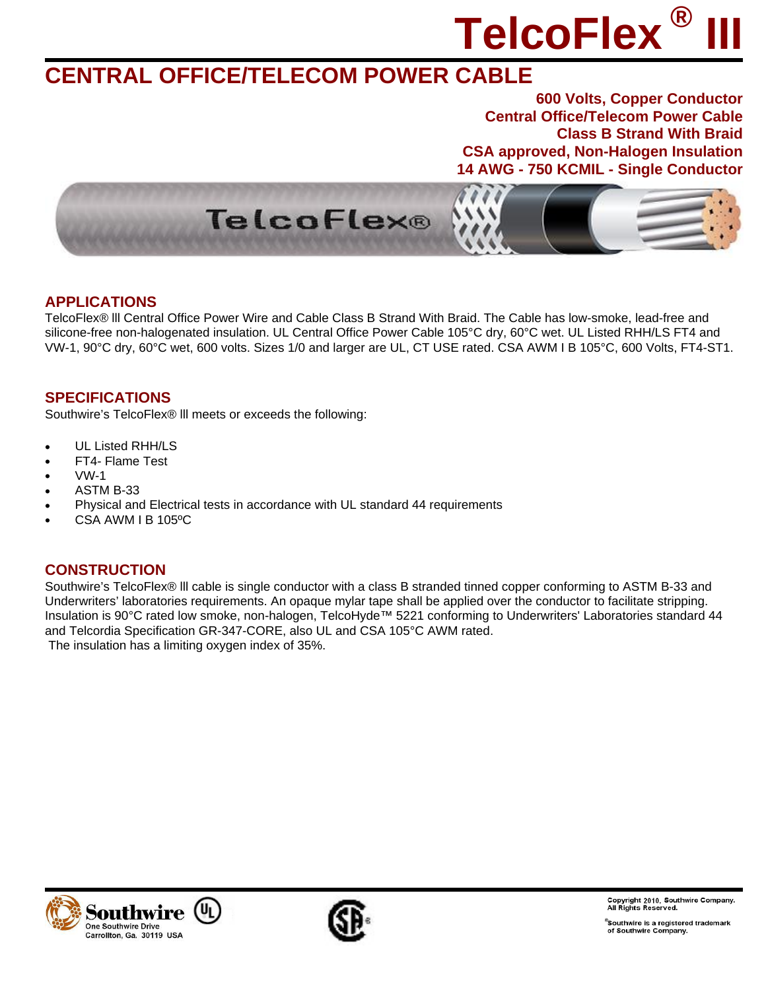# **TelcoFlex ® III**

### **CENTRAL OFFICE/TELECOM POWER CABLE**

**600 Volts, Copper Conductor Central Office/Telecom Power Cable Class B Strand With Braid CSA approved, Non-Halogen Insulation 14 AWG - 750 KCMIL - Single Conductor**



#### **APPLICATIONS**

TelcoFlex® lll Central Office Power Wire and Cable Class B Strand With Braid. The Cable has low-smoke, lead-free and silicone-free non-halogenated insulation. UL Central Office Power Cable 105°C dry, 60°C wet. UL Listed RHH/LS FT4 and VW-1, 90°C dry, 60°C wet, 600 volts. Sizes 1/0 and larger are UL, CT USE rated. CSA AWM I B 105°C, 600 Volts, FT4-ST1.

#### **SPECIFICATIONS**

Southwire's TelcoFlex® lll meets or exceeds the following:

- UL Listed RHH/LS
- FT4- Flame Test
- VW-1
- ASTM B-33
- Physical and Electrical tests in accordance with UL standard 44 requirements
- CSA AWM I B 105ºC

#### **CONSTRUCTION**

Southwire's TelcoFlex® lll cable is single conductor with a class B stranded tinned copper conforming to ASTM B-33 and Underwriters' laboratories requirements. An opaque mylar tape shall be applied over the conductor to facilitate stripping. Insulation is 90°C rated low smoke, non-halogen, TelcoHyde™ 5221 conforming to Underwriters' Laboratories standard 44 and Telcordia Specification GR-347-CORE, also UL and CSA 105°C AWM rated. The insulation has a limiting oxygen index of 35%.





Copyright 2010, Southwire Company.<br>All Rights Reserved.

 $^\circ$ Southwire is a registered trademark obdition of surveys control of Southwire Company.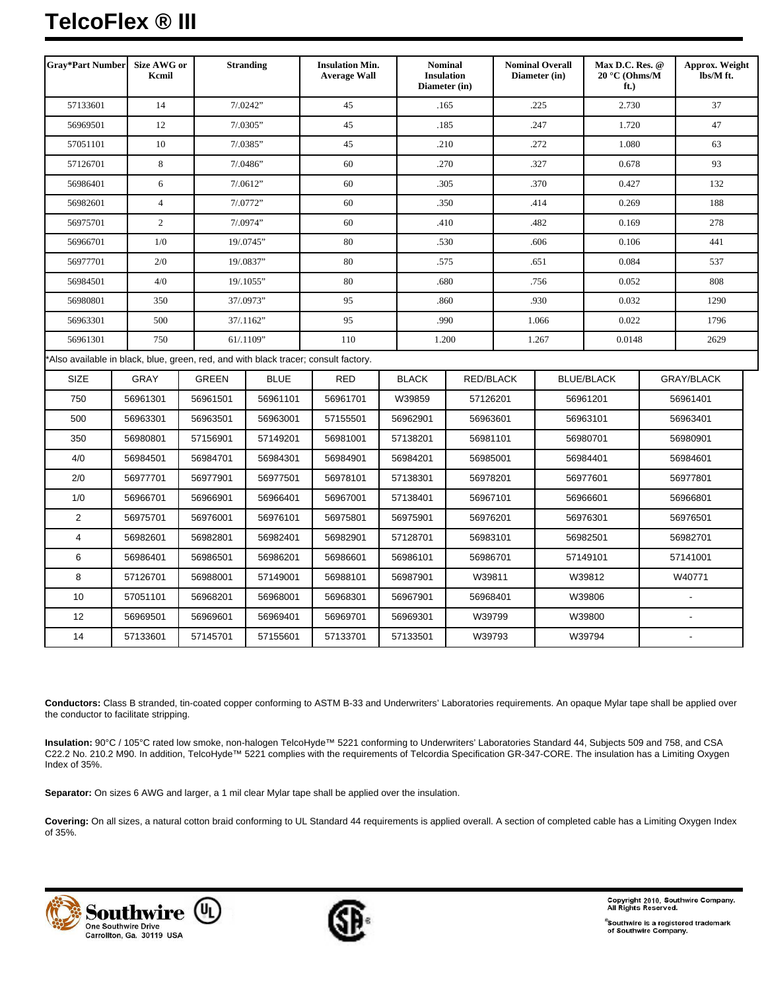## **TelcoFlex ® III**

| <b>Gray*Part Number</b>    | <b>Size AWG or</b><br>Kcmil |              | <b>Stranding</b> | <b>Insulation Min.</b><br><b>Average Wall</b>                                       |              | <b>Nominal</b><br><b>Insulation</b><br>Diameter (in) |       | <b>Nominal Overall</b><br>Diameter (in) |                   | Max D.C. Res. @<br>$20 °C$ (Ohms/M | Approx. Weight<br>lbs/M ft. |  |
|----------------------------|-----------------------------|--------------|------------------|-------------------------------------------------------------------------------------|--------------|------------------------------------------------------|-------|-----------------------------------------|-------------------|------------------------------------|-----------------------------|--|
| 57133601<br>14             |                             |              | 7/0242"          | 45                                                                                  |              | .165                                                 |       | .225                                    |                   | 2.730                              | 37                          |  |
| 56969501<br>12             |                             |              | 7/0305"          | 45                                                                                  |              | .185                                                 |       | .247                                    |                   | 1.720                              | 47                          |  |
| 57051101<br>10             |                             |              | 7/0385"          | 45                                                                                  |              | .210                                                 |       | .272                                    |                   | 1.080                              | 63                          |  |
| 8<br>57126701              |                             |              | 7/0.0486         | 60                                                                                  |              | .270                                                 |       | .327                                    |                   | 0.678                              | 93                          |  |
| 6<br>56986401              |                             |              | 7/0612"          | 60                                                                                  |              | .305                                                 |       | .370                                    |                   | 0.427                              | 132                         |  |
| $\overline{4}$<br>56982601 |                             |              | 7/0772"          | 60                                                                                  |              | .350                                                 |       | .414                                    |                   | 0.269                              | 188                         |  |
| 56975701<br>$\mathbf{2}$   |                             |              | 7/0974"          | 60                                                                                  |              | .410                                                 |       | .482                                    |                   | 0.169                              | 278                         |  |
| 1/0<br>56966701            |                             |              | 19/.0745"        | 80<br>.530                                                                          |              |                                                      | .606  |                                         | 0.106             |                                    | 441                         |  |
| 56977701                   | 2/0                         |              | 19/.0837"        | 80                                                                                  |              | .575                                                 |       | .651                                    | 0.084             |                                    | 537                         |  |
| 56984501                   | 4/0                         |              | 19/.1055"        | 80                                                                                  |              | .680                                                 |       | .756                                    |                   | 0.052                              | 808                         |  |
| 56980801                   | 350                         |              | 37/.0973"        | 95                                                                                  |              | .860                                                 |       | .930                                    |                   | 0.032                              | 1290                        |  |
| 56963301                   | 500                         |              | 37/.1162"        | 95<br>.990                                                                          |              |                                                      | 1.066 |                                         | 0.022             |                                    | 1796                        |  |
| 750<br>56961301            |                             |              | 61/.1109"        | 110                                                                                 | 1.200        |                                                      | 1.267 |                                         | 0.0148            |                                    | 2629                        |  |
|                            |                             |              |                  | *Also available in black, blue, green, red, and with black tracer; consult factory. |              |                                                      |       |                                         |                   |                                    |                             |  |
| <b>SIZE</b>                | <b>GRAY</b>                 | <b>GREEN</b> | <b>BLUE</b>      | <b>RED</b>                                                                          | <b>BLACK</b> | RED/BLACK                                            |       |                                         | <b>BLUE/BLACK</b> |                                    | GRAY/BLACK                  |  |
| 750                        | 56961301                    | 56961501     | 56961101         | 56961701                                                                            | W39859       | 57126201                                             |       |                                         | 56961201          |                                    | 56961401                    |  |
| 500                        | 56963301                    | 56963501     | 56963001         | 57155501                                                                            | 56962901     | 56963601                                             |       | 56963101                                |                   |                                    | 56963401                    |  |
| 350                        | 56980801                    | 57156901     | 57149201         | 56981001                                                                            | 57138201     | 56981101                                             |       | 56980701                                |                   | 56980901                           |                             |  |
| 4/0                        | 56984501                    | 56984701     | 56984301         | 56984901                                                                            | 56984201     | 56985001                                             |       | 56984401                                |                   | 56984601                           |                             |  |
| 2/0                        | 56977701                    | 56977901     | 56977501         | 56978101                                                                            | 57138301     | 56978201                                             |       | 56977601                                |                   | 56977801                           |                             |  |
| 1/0                        | 56966701                    | 56966901     | 56966401         | 56967001                                                                            | 57138401     | 56967101                                             |       | 56966601                                |                   | 56966801                           |                             |  |
| $\overline{2}$             | 56975701                    | 56976001     | 56976101         | 56975801                                                                            | 56975901     | 56976201                                             |       | 56976301                                |                   | 56976501                           |                             |  |
| $\overline{4}$             | 56982601                    | 56982801     | 56982401         | 56982901                                                                            | 57128701     | 56983101                                             |       |                                         | 56982501          |                                    | 56982701                    |  |
| 6                          | 56986401                    | 56986501     | 56986201         | 56986601                                                                            | 56986101     | 56986701                                             |       | 57149101                                |                   |                                    | 57141001                    |  |
| 8                          | 57126701                    | 56988001     | 57149001         | 56988101                                                                            | 56987901     | W39811                                               |       | W39812                                  |                   |                                    | W40771                      |  |
| 10                         | 57051101                    | 56968201     | 56968001         | 56968301                                                                            | 56967901     | 56968401                                             |       | W39806                                  |                   |                                    | $\blacksquare$              |  |
| 12                         | 56969501                    | 56969601     | 56969401         | 56969701                                                                            | 56969301     | W39799                                               |       | W39800                                  |                   |                                    |                             |  |
| 14                         | 57133601                    | 57145701     | 57155601         | 57133701                                                                            | 57133501     | W39793                                               |       | W39794                                  |                   |                                    |                             |  |

**Conductors:** Class B stranded, tin-coated copper conforming to ASTM B-33 and Underwriters' Laboratories requirements. An opaque Mylar tape shall be applied over the conductor to facilitate stripping.

**Insulation:** 90°C / 105°C rated low smoke, non-halogen TelcoHyde™ 5221 conforming to Underwriters' Laboratories Standard 44, Subjects 509 and 758, and CSA C22.2 No. 210.2 M90. In addition, TelcoHyde™ 5221 complies with the requirements of Telcordia Specification GR-347-CORE. The insulation has a Limiting Oxygen Index of 35%.

**Separator:** On sizes 6 AWG and larger, a 1 mil clear Mylar tape shall be applied over the insulation.

**Covering:** On all sizes, a natural cotton braid conforming to UL Standard 44 requirements is applied overall. A section of completed cable has a Limiting Oxygen Index of 35%.





Copyright 2010, Southwire Company.<br>All Rights Reserved.

®Southwire is a registered trademark<br>of Southwire Company.